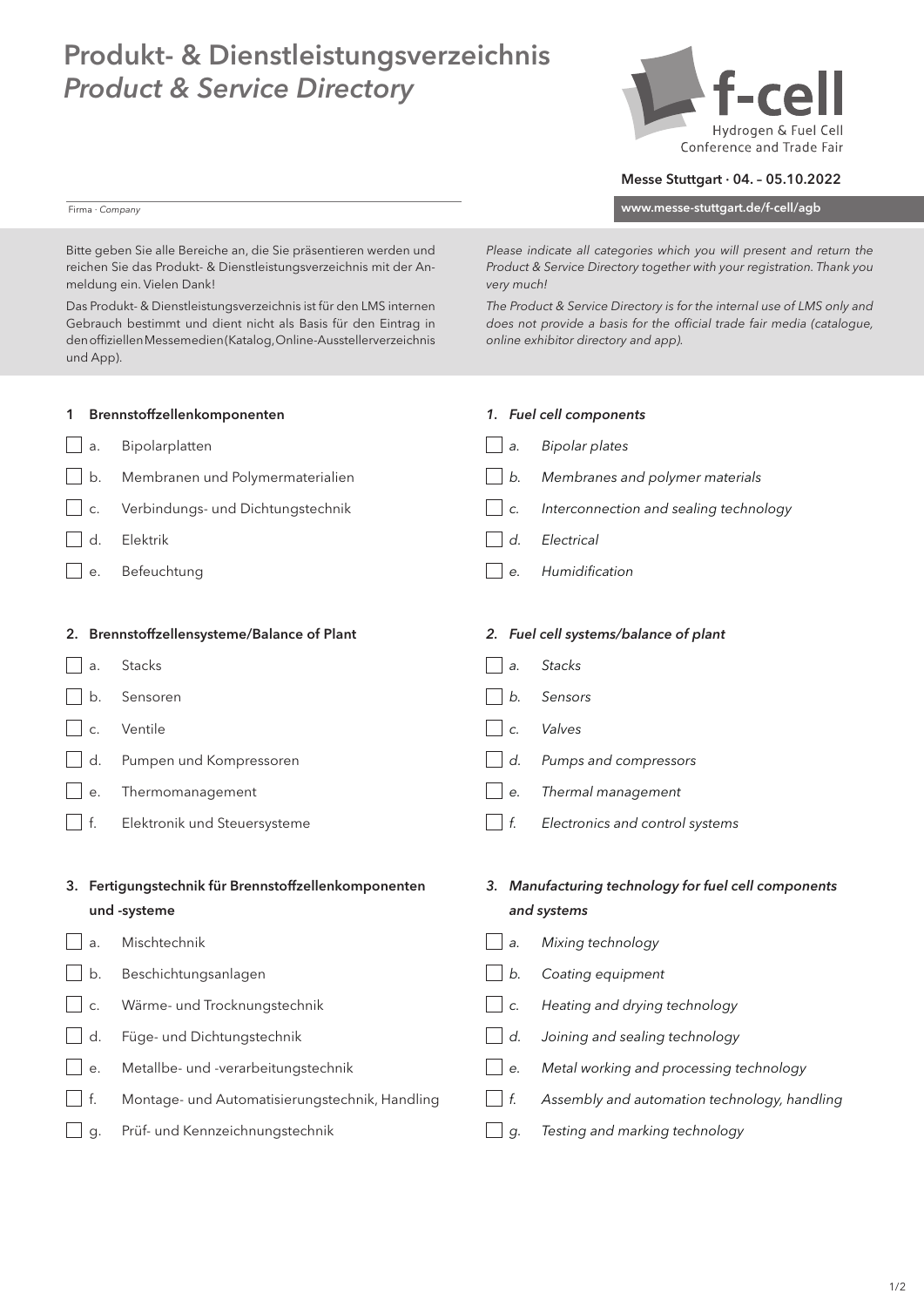## Produkt- & Dienstleistungsverzeichnis *Product & Service Directory*



## Messe Stuttgart · 04. – 05.10.2022

www.messe-stuttgart.de/f-cell/agb

*Please indicate all categories which you will present and return the Product & Service Directory together with your registration. Thank you* 

Bitte geben Sie alle Bereiche an, die Sie präsentieren werden und reichen Sie das Produkt- & Dienstleistungsverzeichnis mit der Anmeldung ein. Vielen Dank!

Firma · *Company*

Das Produkt- & Dienstleistungsverzeichnis ist für den LMS internen Gebrauch bestimmt und dient nicht als Basis für den Eintrag in den offiziellen Messemedien (Katalog, Online-Ausstellerverzeichnis und App).

| The Product & Service Directory is for the internal use of LMS only and |
|-------------------------------------------------------------------------|
| does not provide a basis for the official trade fair media (catalogue,  |
| online exhibitor directory and app).                                    |

*very much!* 

|           | 1 Brennstoffzellenkomponenten                        |    | 1. Fuel cell components                              |
|-----------|------------------------------------------------------|----|------------------------------------------------------|
| a.        | Bipolarplatten                                       | a. | <b>Bipolar plates</b>                                |
| b.        | Membranen und Polymermaterialien                     | b. | Membranes and polymer materials                      |
| C.        | Verbindungs- und Dichtungstechnik                    | C. | Interconnection and sealing technology               |
| d.        | Elektrik                                             | d. | Electrical                                           |
| е.        | Befeuchtung                                          | е. | Humidification                                       |
|           |                                                      |    |                                                      |
|           | 2. Brennstoffzellensysteme/Balance of Plant          |    | 2. Fuel cell systems/balance of plant                |
| a.        | Stacks                                               | a. | <b>Stacks</b>                                        |
| b.        | Sensoren                                             | b. | Sensors                                              |
| C.        | Ventile                                              | C. | Valves                                               |
| d.        | Pumpen und Kompressoren                              | d. | Pumps and compressors                                |
| e.        | Thermomanagement                                     | е. | Thermal management                                   |
| $\Box$ f. | Elektronik und Steuersysteme                         | f. | Electronics and control systems                      |
|           |                                                      |    |                                                      |
|           | 3. Fertigungstechnik für Brennstoffzellenkomponenten |    | 3. Manufacturing technology for fuel cell components |
|           | und -systeme                                         |    | and systems                                          |
| a.        | Mischtechnik                                         | a. | Mixing technology                                    |
| b.        | Beschichtungsanlagen                                 | b. | Coating equipment                                    |
| C.        | Wärme- und Trocknungstechnik                         | C. | Heating and drying technology                        |
| d.        | Füge- und Dichtungstechnik                           | d. | Joining and sealing technology                       |
| $\Box$ e. | Metallbe- und -verarbeitungstechnik                  | е. | Metal working and processing technology              |
| $\top$ f. | Montage- und Automatisierungstechnik, Handling       | f. | Assembly and automation technology, handling         |
| g.        | Prüf- und Kennzeichnungstechnik                      | g. | Testing and marking technology                       |